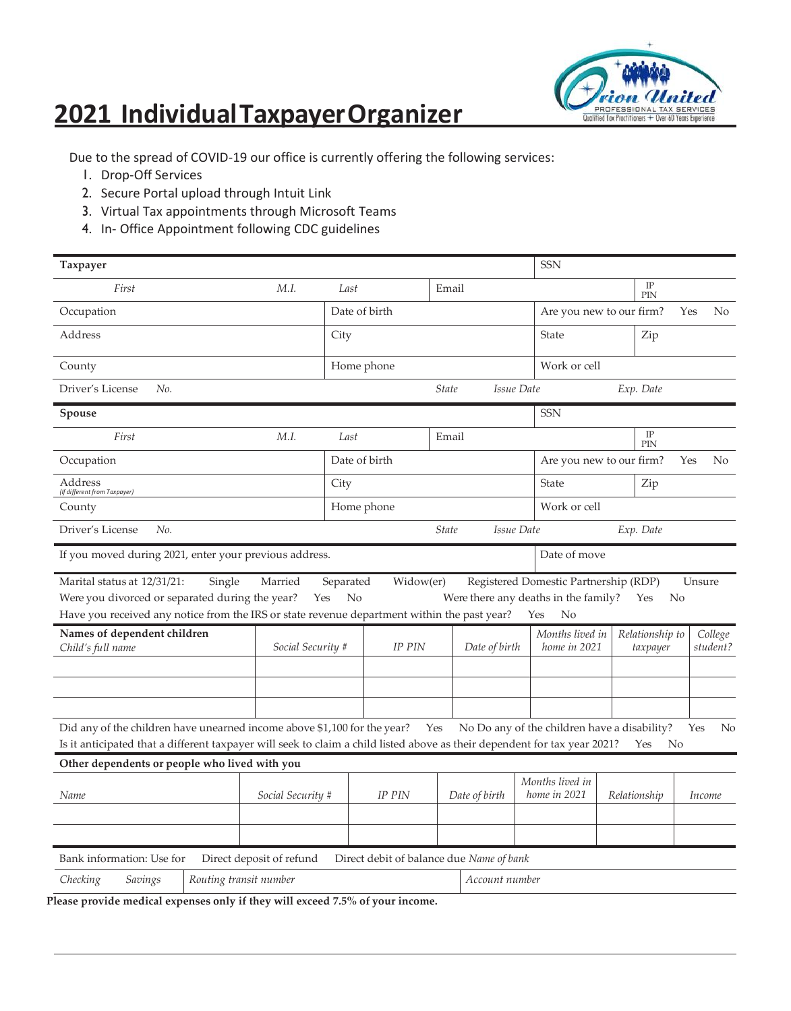## **2021 IndividualTaxpayerOrganizer**



Due to the spread of COVID-19 our office is currently offering the following services:

- 1. Drop-Off Services
- 2. Secure Portal upload through Intuit Link
- 3. Virtual Tax appointments through Microsoft Teams
- 4. In- Office Appointment following CDC guidelines

| Taxpayer                                                                                                                                                                                              |                          |                   |                                          |                            |                | <b>SSN</b>                                   |                    |                 |        |                |  |
|-------------------------------------------------------------------------------------------------------------------------------------------------------------------------------------------------------|--------------------------|-------------------|------------------------------------------|----------------------------|----------------|----------------------------------------------|--------------------|-----------------|--------|----------------|--|
| First<br>M.I.                                                                                                                                                                                         |                          |                   | Last<br>Email                            |                            |                |                                              | $_{\rm IP}$<br>PIN |                 |        |                |  |
| Occupation                                                                                                                                                                                            |                          |                   | Date of birth                            |                            |                | Are you new to our firm?                     |                    |                 | Yes    | No.            |  |
| Address                                                                                                                                                                                               |                          | City              |                                          |                            |                | State                                        |                    | Zip             |        |                |  |
| County                                                                                                                                                                                                |                          |                   | Home phone                               |                            |                |                                              | Work or cell       |                 |        |                |  |
| Driver's License<br>No.                                                                                                                                                                               |                          |                   |                                          | <b>State</b>               |                | Issue Date                                   | Exp. Date          |                 |        |                |  |
| Spouse                                                                                                                                                                                                |                          |                   |                                          |                            |                | SSN                                          |                    |                 |        |                |  |
| First                                                                                                                                                                                                 | M.I.                     | Last              |                                          | Email                      |                |                                              |                    | IP<br>PIN       |        |                |  |
| Occupation                                                                                                                                                                                            |                          |                   | Date of birth                            |                            |                | Are you new to our firm?                     |                    |                 | Yes    | N <sub>0</sub> |  |
| Address<br>(If different from Taxpayer)                                                                                                                                                               |                          | City              |                                          |                            |                | State                                        | Zip                |                 |        |                |  |
| County                                                                                                                                                                                                |                          |                   | Home phone                               |                            |                | Work or cell                                 |                    |                 |        |                |  |
| Driver's License<br>No.                                                                                                                                                                               |                          |                   |                                          | <i><u><b>State</b></u></i> |                | Issue Date                                   | Exp. Date          |                 |        |                |  |
| If you moved during 2021, enter your previous address.                                                                                                                                                |                          |                   |                                          |                            |                | Date of move                                 |                    |                 |        |                |  |
| Marital status at 12/31/21:<br>Single                                                                                                                                                                 | Married                  | Separated         | Widow(er)                                |                            |                | Registered Domestic Partnership (RDP)        |                    |                 | Unsure |                |  |
| Were you divorced or separated during the year?                                                                                                                                                       | Yes                      | No                |                                          |                            |                | Were there any deaths in the family?         | Yes                | N <sub>o</sub>  |        |                |  |
| Have you received any notice from the IRS or state revenue department within the past year?                                                                                                           |                          |                   |                                          |                            |                | No<br>Yes                                    |                    |                 |        |                |  |
| Names of dependent children                                                                                                                                                                           |                          |                   |                                          |                            |                | Months lived in                              |                    | Relationship to |        | College        |  |
| Child's full name                                                                                                                                                                                     |                          | Social Security # |                                          |                            | Date of birth  | home in 2021                                 |                    | taxpayer        |        | student?       |  |
|                                                                                                                                                                                                       |                          |                   |                                          |                            |                |                                              |                    |                 |        |                |  |
|                                                                                                                                                                                                       |                          |                   |                                          |                            |                |                                              |                    |                 |        |                |  |
|                                                                                                                                                                                                       |                          |                   |                                          |                            |                |                                              |                    |                 |        |                |  |
| Did any of the children have unearned income above \$1,100 for the year?<br>Is it anticipated that a different taxpayer will seek to claim a child listed above as their dependent for tax year 2021? |                          |                   |                                          | Yes                        |                | No Do any of the children have a disability? | Yes                | No              | Yes    | N <sub>0</sub> |  |
| Other dependents or people who lived with you                                                                                                                                                         |                          |                   |                                          |                            |                |                                              |                    |                 |        |                |  |
|                                                                                                                                                                                                       |                          |                   |                                          |                            |                | Months lived in                              |                    |                 |        |                |  |
| Name                                                                                                                                                                                                  | Social Security #        |                   | <b>IP PIN</b>                            |                            | Date of birth  | home in 2021                                 | Relationship       |                 |        | Income         |  |
|                                                                                                                                                                                                       |                          |                   |                                          |                            |                |                                              |                    |                 |        |                |  |
|                                                                                                                                                                                                       |                          |                   |                                          |                            |                |                                              |                    |                 |        |                |  |
| Bank information: Use for                                                                                                                                                                             | Direct deposit of refund |                   | Direct debit of balance due Name of bank |                            |                |                                              |                    |                 |        |                |  |
| Checking<br>Routing transit number<br>Savings                                                                                                                                                         |                          |                   |                                          |                            | Account number |                                              |                    |                 |        |                |  |

**Please provide medical expenses only if they will exceed 7.5% of your income.**